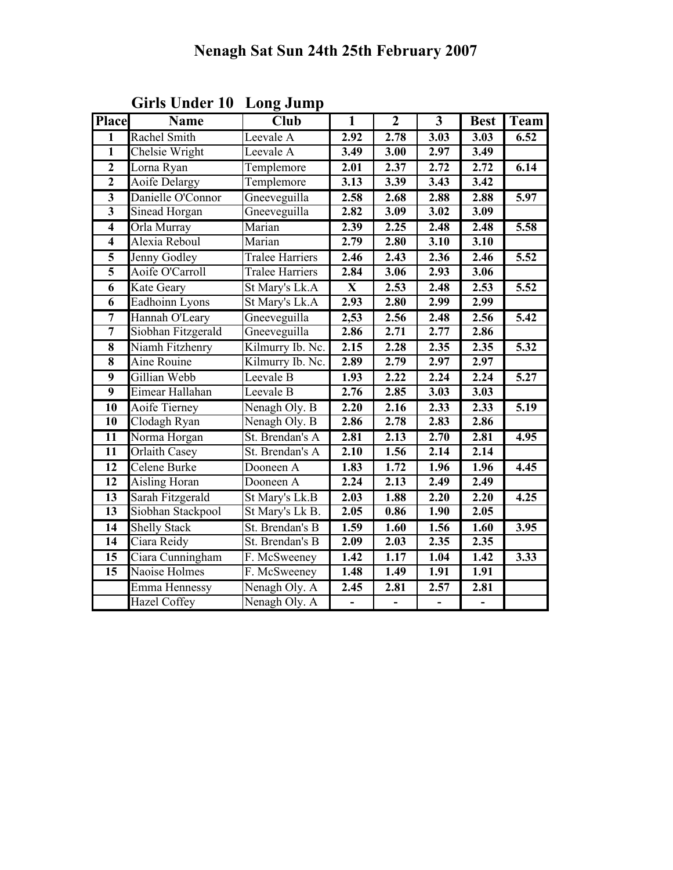| <b>Place</b>            | <b>Name</b>          | $\overline{\text{Club}}$ | $\overline{\mathbf{1}}$  | $\overline{2}$    | $\overline{3}$               | <b>Best</b>       | Team              |
|-------------------------|----------------------|--------------------------|--------------------------|-------------------|------------------------------|-------------------|-------------------|
| 1                       | Rachel Smith         | Leevale A                | 2.92                     | 2.78              | 3.03                         | 3.03              | 6.52              |
| $\overline{1}$          | Chelsie Wright       | Leevale A                | 3.49                     | 3.00              | 2.97                         | $\overline{3.49}$ |                   |
| $\overline{2}$          | Lorna Ryan           | Templemore               | 2.01                     | 2.37              | 2.72                         | 2.72              | 6.14              |
| $\overline{2}$          | <b>Aoife Delargy</b> | Templemore               | 3.13                     | 3.39              | 3.43                         | 3.42              |                   |
| $\overline{\mathbf{3}}$ | Danielle O'Connor    | Gneeveguilla             | 2.58                     | 2.68              | 2.88                         | 2.88              | 5.97              |
| $\overline{\mathbf{3}}$ | Sinead Horgan        | Gneeveguilla             | 2.82                     | 3.09              | 3.02                         | 3.09              |                   |
| $\overline{\mathbf{4}}$ | Orla Murray          | Marian                   | 2.39                     | 2.25              | 2.48                         | 2.48              | 5.58              |
| $\overline{4}$          | Alexia Reboul        | Marian                   | 2.79                     | 2.80              | 3.10                         | $\overline{3.10}$ |                   |
| $\overline{\mathbf{5}}$ | Jenny Godley         | <b>Tralee Harriers</b>   | 2.46                     | 2.43              | 2.36                         | 2.46              | 5.52              |
| $\overline{\mathbf{5}}$ | Aoife O'Carroll      | <b>Tralee Harriers</b>   | 2.84                     | 3.06              | 2.93                         | 3.06              |                   |
| $\overline{6}$          | <b>Kate Geary</b>    | St Mary's Lk.A           | $\overline{\mathbf{X}}$  | 2.53              | 2.48                         | 2.53              | $\overline{5.52}$ |
| $\overline{6}$          | Eadhoinn Lyons       | St Mary's Lk.A           | 2.93                     | 2.80              | 2.99                         | 2.99              |                   |
| $\overline{7}$          | Hannah O'Leary       | Gneeveguilla             | 2,53                     | 2.56              | 2.48                         | 2.56              | 5.42              |
| 7                       | Siobhan Fitzgerald   | Gneeveguilla             | 2.86                     | 2.71              | 2.77                         | 2.86              |                   |
| $\overline{\bf 8}$      | Niamh Fitzhenry      | Kilmurry Ib. Nc.         | 2.15                     | 2.28              | 2.35                         | 2.35              | $\overline{5.32}$ |
| $\overline{\bf 8}$      | Aine Rouine          | Kilmurry Ib. Nc.         | 2.89                     | 2.79              | 2.97                         | 2.97              |                   |
| 9                       | Gillian Webb         | Leevale B                | 1.93                     | 2.22              | 2.24                         | 2.24              | 5.27              |
| $\overline{9}$          | Eimear Hallahan      | Leevale B                | 2.76                     | 2.85              | 3.03                         | $\overline{3.03}$ |                   |
| 10                      | Aoife Tierney        | Nenagh Oly. B            | 2.20                     | 2.16              | 2.33                         | 2.33              | 5.19              |
| $\overline{10}$         | Clodagh Ryan         | Nenagh Oly. B            | 2.86                     | 2.78              | 2.83                         | 2.86              |                   |
| $\overline{11}$         | Norma Horgan         | St. Brendan's A          | 2.81                     | 2.13              | 2.70                         | 2.81              | 4.95              |
| $\overline{11}$         | Orlaith Casey        | St. Brendan's A          | 2.10                     | 1.56              | 2.14                         | 2.14              |                   |
| $\overline{12}$         | Celene Burke         | Dooneen A                | 1.83                     | 1.72              | 1.96                         | 1.96              | 4.45              |
| $\overline{12}$         | <b>Aisling Horan</b> | Dooneen A                | 2.24                     | 2.13              | 2.49                         | 2.49              |                   |
| $\overline{13}$         | Sarah Fitzgerald     | St Mary's Lk.B           | 2.03                     | 1.88              | 2.20                         | 2.20              | 4.25              |
| $\overline{13}$         | Siobhan Stackpool    | St Mary's Lk B.          | 2.05                     | 0.86              | 1.90                         | 2.05              |                   |
| 14                      | <b>Shelly Stack</b>  | St. Brendan's B          | 1.59                     | 1.60              | 1.56                         | 1.60              | 3.95              |
| 14                      | Ciara Reidy          | St. Brendan's B          | 2.09                     | 2.03              | 2.35                         | 2.35              |                   |
| 15                      | Ciara Cunningham     | F. McSweeney             | 1.42                     | 1.17              | 1.04                         | 1.42              | 3.33              |
| $\overline{15}$         | Naoise Holmes        | F. McSweeney             | $\overline{1.48}$        | $\overline{1.49}$ | 1.91                         | 1.91              |                   |
|                         | Emma Hennessy        | Nenagh Oly. A            | 2.45                     | 2.81              | 2.57                         | 2.81              |                   |
|                         | <b>Hazel Coffey</b>  | Nenagh Oly. A            | $\overline{\phantom{0}}$ | $\blacksquare$    | $\qquad \qquad \blacksquare$ | $\blacksquare$    |                   |

Girls Under 10 Long Jump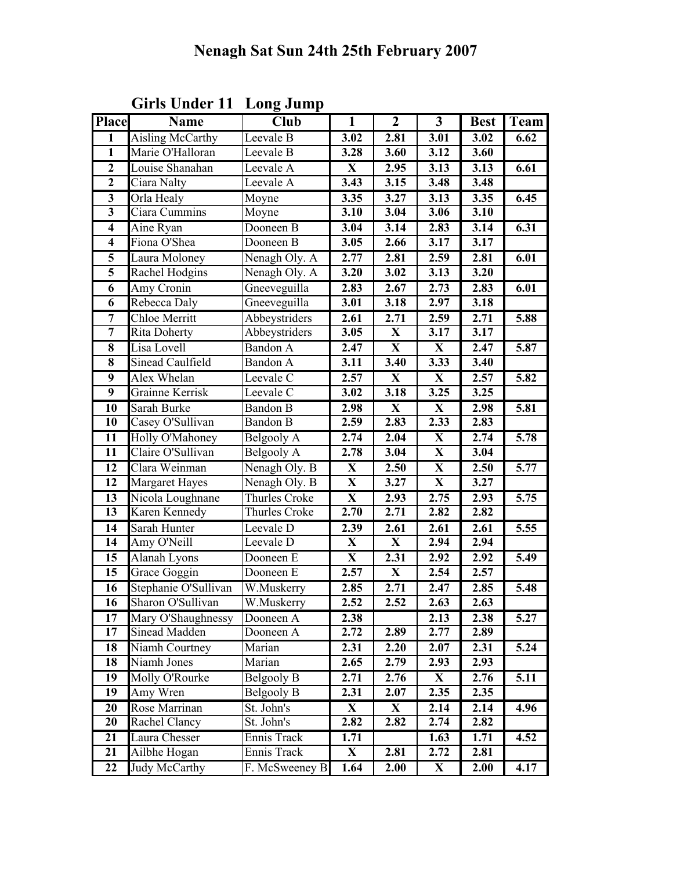| <b>Place</b>            | <b>Name</b>           | <b>Club</b>     | $\overline{1}$          | $\overline{2}$          | $\overline{3}$          | <b>Best</b>       | Team |
|-------------------------|-----------------------|-----------------|-------------------------|-------------------------|-------------------------|-------------------|------|
| 1                       | Aisling McCarthy      | Leevale B       | 3.02                    | 2.81                    | 3.01                    | 3.02              | 6.62 |
| $\mathbf{1}$            | Marie O'Halloran      | Leevale B       | 3.28                    | 3.60                    | 3.12                    | 3.60              |      |
| $\overline{2}$          | Louise Shanahan       | Leevale A       | X                       | 2.95                    | 3.13                    | 3.13              | 6.61 |
| $\overline{2}$          | Ciara Nalty           | Leevale A       | 3.43                    | 3.15                    | 3.48                    | 3.48              |      |
| $\mathbf{3}$            | Orla Healy            | Moyne           | 3.35                    | 3.27                    | 3.13                    | 3.35              | 6.45 |
| $\overline{\mathbf{3}}$ | Ciara Cummins         | Moyne           | 3.10                    | 3.04                    | 3.06                    | $\overline{3.10}$ |      |
| $\overline{4}$          | Aine Ryan             | Dooneen B       | 3.04                    | 3.14                    | 2.83                    | 3.14              | 6.31 |
| $\overline{\mathbf{4}}$ | Fiona O'Shea          | Dooneen B       | 3.05                    | 2.66                    | 3.17                    | 3.17              |      |
| $\overline{\mathbf{5}}$ | Laura Moloney         | Nenagh Oly. A   | 2.77                    | 2.81                    | 2.59                    | 2.81              | 6.01 |
| $\overline{\mathbf{5}}$ | Rachel Hodgins        | Nenagh Oly. A   | 3.20                    | 3.02                    | 3.13                    | 3.20              |      |
| 6                       | Amy Cronin            | Gneeveguilla    | 2.83                    | 2.67                    | 2.73                    | 2.83              | 6.01 |
| 6                       | Rebecca Daly          | Gneeveguilla    | 3.01                    | 3.18                    | 2.97                    | 3.18              |      |
| $\overline{7}$          | Chloe Merritt         | Abbeystriders   | 2.61                    | 2.71                    | 2.59                    | 2.71              | 5.88 |
| $\overline{7}$          | Rita Doherty          | Abbeystriders   | 3.05                    | $\mathbf{X}$            | 3.17                    | $\overline{3.17}$ |      |
| 8                       | Lisa Lovell           | <b>Bandon A</b> | 2.47                    | $\mathbf{X}$            | $\mathbf{X}$            | 2.47              | 5.87 |
| 8                       | Sinead Caulfield      | <b>Bandon A</b> | 3.11                    | 3.40                    | 3.33                    | 3.40              |      |
| $\overline{9}$          | Alex Whelan           | Leevale C       | 2.57                    | $\overline{\mathbf{X}}$ | $\overline{\mathbf{X}}$ | 2.57              | 5.82 |
| $\overline{9}$          | Grainne Kerrisk       | Leevale C       | 3.02                    | $\overline{3.18}$       | 3.25                    | 3.25              |      |
| 10                      | Sarah Burke           | <b>Bandon B</b> | 2.98                    | $\mathbf X$             | $\mathbf{X}$            | 2.98              | 5.81 |
| 10                      | Casey O'Sullivan      | <b>Bandon B</b> | 2.59                    | 2.83                    | 2.33                    | 2.83              |      |
| 11                      | Holly O'Mahoney       | Belgooly A      | 2.74                    | 2.04                    | $\mathbf X$             | 2.74              | 5.78 |
| 11                      | Claire O'Sullivan     | Belgooly A      | 2.78                    | 3.04                    | $\mathbf X$             | 3.04              |      |
| 12                      | Clara Weinman         | Nenagh Oly. B   | X                       | 2.50                    | X                       | 2.50              | 5.77 |
| 12                      | <b>Margaret Hayes</b> | Nenagh Oly. B   | $\overline{\mathbf{X}}$ | 3.27                    | $\overline{\mathbf{X}}$ | 3.27              |      |
| $\overline{13}$         | Nicola Loughnane      | Thurles Croke   | $\mathbf X$             | 2.93                    | 2.75                    | 2.93              | 5.75 |
| 13                      | Karen Kennedy         | Thurles Croke   | 2.70                    | 2.71                    | 2.82                    | 2.82              |      |
| $\overline{14}$         | Sarah Hunter          | Leevale D       | 2.39                    | 2.61                    | 2.61                    | 2.61              | 5.55 |
| 14                      | Amy O'Neill           | Leevale D       | $\overline{\mathbf{X}}$ | $\overline{\mathbf{X}}$ | 2.94                    | 2.94              |      |
| 15                      | Alanah Lyons          | Dooneen E       | $\mathbf X$             | 2.31                    | 2.92                    | 2.92              | 5.49 |
| 15                      | Grace Goggin          | Dooneen E       | 2.57                    | $\mathbf X$             | 2.54                    | 2.57              |      |
| 16                      | Stephanie O'Sullivan  | W.Muskerry      | 2.85                    | 2.71                    | 2.47                    | 2.85              | 5.48 |
| $\overline{16}$         | Sharon O'Sullivan     | W.Muskerry      | 2.52                    | 2.52                    | 2.63                    | 2.63              |      |
| 17                      | Mary O'Shaughnessy    | Dooneen A       | 2.38                    |                         | 2.13                    | 2.38              | 5.27 |
| 17                      | Sinead Madden         | Dooneen A       | 2.72                    | 2.89                    | 2.77                    | 2.89              |      |
| 18                      | Niamh Courtney        | Marian          | 2.31                    | 2.20                    | 2.07                    | 2.31              | 5.24 |
| 18                      | Niamh Jones           | Marian          | 2.65                    | 2.79                    | 2.93                    | 2.93              |      |
| 19                      | Molly O'Rourke        | Belgooly B      | 2.71                    | 2.76                    | $\mathbf{X}$            | 2.76              | 5.11 |
| 19                      | Amy Wren              | Belgooly B      | 2.31                    | 2.07                    | 2.35                    | 2.35              |      |
| 20                      | Rose Marrinan         | St. John's      | X                       | $\mathbf{X}$            | 2.14                    | 2.14              | 4.96 |
| 20                      | Rachel Clancy         | St. John's      | 2.82                    | 2.82                    | 2.74                    | 2.82              |      |
| 21                      | Laura Chesser         | Ennis Track     | 1.71                    |                         | 1.63                    | 1.71              | 4.52 |
| 21                      | Ailbhe Hogan          | Ennis Track     | $\mathbf{X}$            | 2.81                    | 2.72                    | 2.81              |      |
| 22                      | Judy McCarthy         | F. McSweeney B  | 1.64                    | 2.00                    | $\mathbf{X}$            | 2.00              | 4.17 |

Girls Under 11 Long Jump